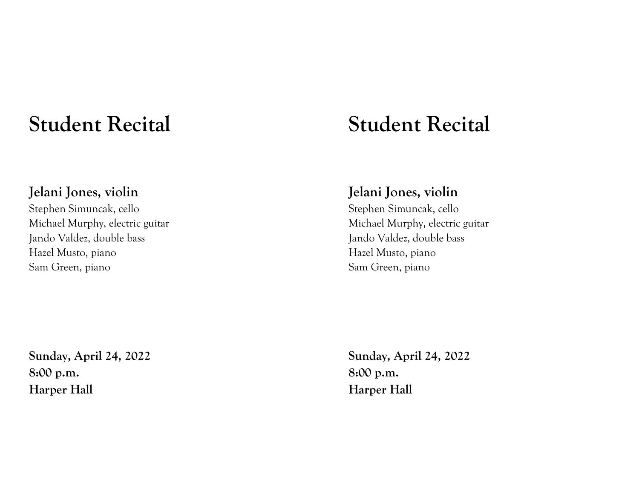## **Student Recital**

## **Jelani Jones, violin**

Stephen Simuncak, cello Michael Murphy, electric guitar Jando Valdez, double bass Hazel Musto, piano Sam Green, piano

**Sunday, April 24, 2022 8:00 p.m. Harper Hall**